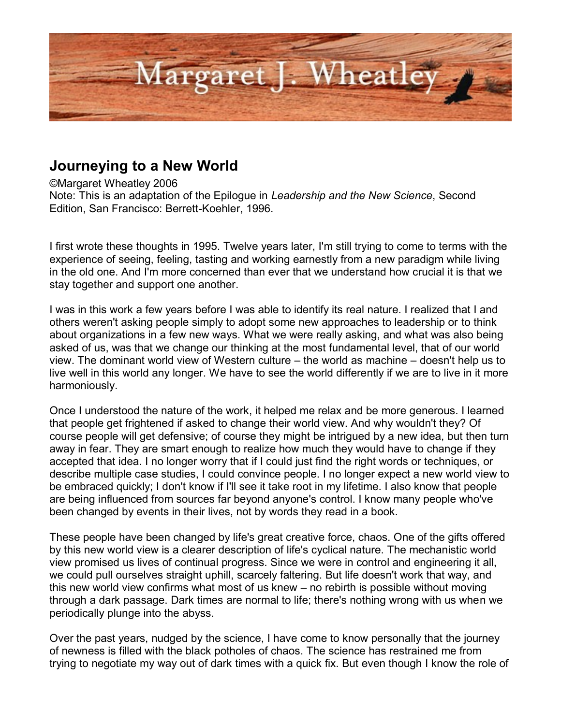

## **Journeying to a New World**

©Margaret Wheatley 2006

Note: This is an adaptation of the Epilogue in *Leadership and the New Science*, Second Edition, San Francisco: Berrett-Koehler, 1996.

I first wrote these thoughts in 1995. Twelve years later, I'm still trying to come to terms with the experience of seeing, feeling, tasting and working earnestly from a new paradigm while living in the old one. And I'm more concerned than ever that we understand how crucial it is that we stay together and support one another.

I was in this work a few years before I was able to identify its real nature. I realized that I and others weren't asking people simply to adopt some new approaches to leadership or to think about organizations in a few new ways. What we were really asking, and what was also being asked of us, was that we change our thinking at the most fundamental level, that of our world view. The dominant world view of Western culture – the world as machine – doesn't help us to live well in this world any longer. We have to see the world differently if we are to live in it more harmoniously.

Once I understood the nature of the work, it helped me relax and be more generous. I learned that people get frightened if asked to change their world view. And why wouldn't they? Of course people will get defensive; of course they might be intrigued by a new idea, but then turn away in fear. They are smart enough to realize how much they would have to change if they accepted that idea. I no longer worry that if I could just find the right words or techniques, or describe multiple case studies, I could convince people. I no longer expect a new world view to be embraced quickly; I don't know if I'll see it take root in my lifetime. I also know that people are being influenced from sources far beyond anyone's control. I know many people who've been changed by events in their lives, not by words they read in a book.

These people have been changed by life's great creative force, chaos. One of the gifts offered by this new world view is a clearer description of life's cyclical nature. The mechanistic world view promised us lives of continual progress. Since we were in control and engineering it all, we could pull ourselves straight uphill, scarcely faltering. But life doesn't work that way, and this new world view confirms what most of us knew – no rebirth is possible without moving through a dark passage. Dark times are normal to life; there's nothing wrong with us when we periodically plunge into the abyss.

Over the past years, nudged by the science, I have come to know personally that the journey of newness is filled with the black potholes of chaos. The science has restrained me from trying to negotiate my way out of dark times with a quick fix. But even though I know the role of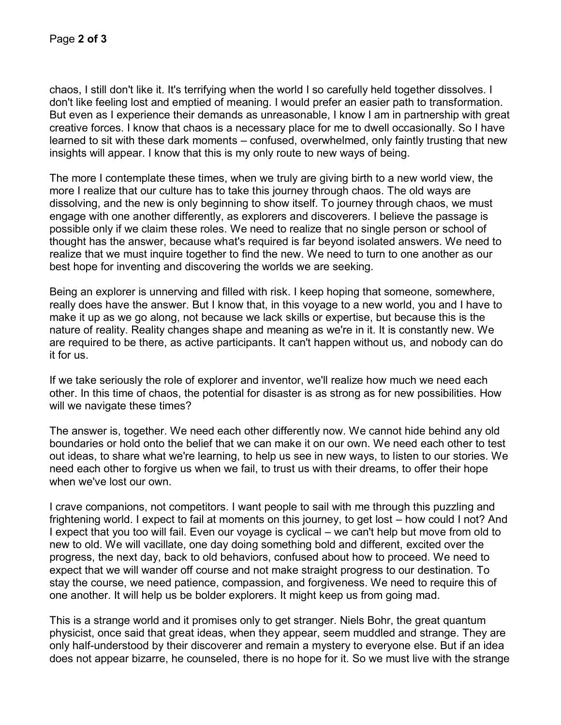chaos, I still don't like it. It's terrifying when the world I so carefully held together dissolves. I don't like feeling lost and emptied of meaning. I would prefer an easier path to transformation. But even as I experience their demands as unreasonable, I know I am in partnership with great creative forces. I know that chaos is a necessary place for me to dwell occasionally. So I have learned to sit with these dark moments – confused, overwhelmed, only faintly trusting that new insights will appear. I know that this is my only route to new ways of being.

The more I contemplate these times, when we truly are giving birth to a new world view, the more I realize that our culture has to take this journey through chaos. The old ways are dissolving, and the new is only beginning to show itself. To journey through chaos, we must engage with one another differently, as explorers and discoverers. I believe the passage is possible only if we claim these roles. We need to realize that no single person or school of thought has the answer, because what's required is far beyond isolated answers. We need to realize that we must inquire together to find the new. We need to turn to one another as our best hope for inventing and discovering the worlds we are seeking.

Being an explorer is unnerving and filled with risk. I keep hoping that someone, somewhere, really does have the answer. But I know that, in this voyage to a new world, you and I have to make it up as we go along, not because we lack skills or expertise, but because this is the nature of reality. Reality changes shape and meaning as we're in it. It is constantly new. We are required to be there, as active participants. It can't happen without us, and nobody can do it for us.

If we take seriously the role of explorer and inventor, we'll realize how much we need each other. In this time of chaos, the potential for disaster is as strong as for new possibilities. How will we navigate these times?

The answer is, together. We need each other differently now. We cannot hide behind any old boundaries or hold onto the belief that we can make it on our own. We need each other to test out ideas, to share what we're learning, to help us see in new ways, to listen to our stories. We need each other to forgive us when we fail, to trust us with their dreams, to offer their hope when we've lost our own.

I crave companions, not competitors. I want people to sail with me through this puzzling and frightening world. I expect to fail at moments on this journey, to get lost – how could I not? And I expect that you too will fail. Even our voyage is cyclical – we can't help but move from old to new to old. We will vacillate, one day doing something bold and different, excited over the progress, the next day, back to old behaviors, confused about how to proceed. We need to expect that we will wander off course and not make straight progress to our destination. To stay the course, we need patience, compassion, and forgiveness. We need to require this of one another. It will help us be bolder explorers. It might keep us from going mad.

This is a strange world and it promises only to get stranger. Niels Bohr, the great quantum physicist, once said that great ideas, when they appear, seem muddled and strange. They are only half-understood by their discoverer and remain a mystery to everyone else. But if an idea does not appear bizarre, he counseled, there is no hope for it. So we must live with the strange